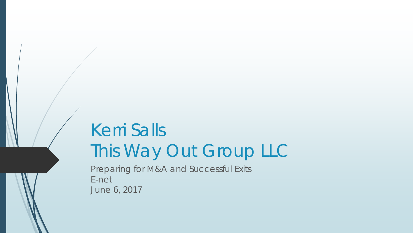# Kerri Salls This Way Out Group LLC

Preparing for M&A and Successful Exits E-net June 6, 2017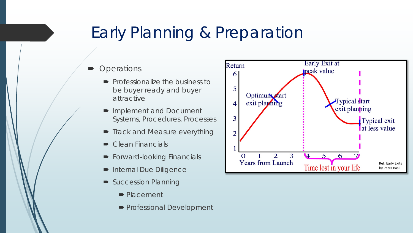#### Early Planning & Preparation

#### **Operations**

- $\blacksquare$  Professionalize the business to be buyer ready and buyer attractive
- **Implement and Document** Systems, Procedures, Processes
- **Track and Measure everything**
- $\bullet$  Clean Financials
- **Forward-looking Financials**
- **Internal Due Diligence**
- Succession Planning
	- Placement
	- **Professional Development**

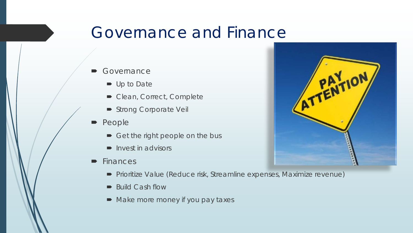#### Governance and Finance

- **Governance** 
	- Up to Date
	- Clean, Correct, Complete
	- Strong Corporate Veil
- People
	- Get the right people on the bus
	- $\blacksquare$  Invest in advisors
- **Finances**
- ATTENTION
- Prioritize Value (Reduce risk, Streamline expenses, Maximize revenue)
- Build Cash flow
- Make more money if you pay taxes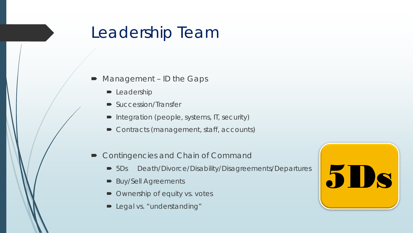#### Leadership Team

- Management ID the Gaps
	- **-** Leadership
	- Succession/Transfer
	- Integration (people, systems, IT, security)
	- Contracts (management, staff, accounts)
- Contingencies and Chain of Command
	- 5Ds Death/Divorce/Disability/Disagreements/Departures
	- **Buy/Sell Agreements**
	- Ownership of equity vs. votes
	- **D** Legal vs. "understanding"

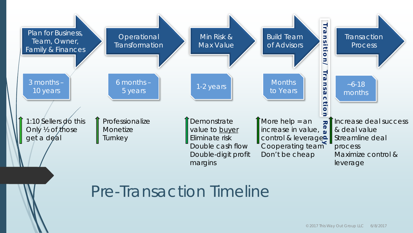

#### Pre-Transaction Timeline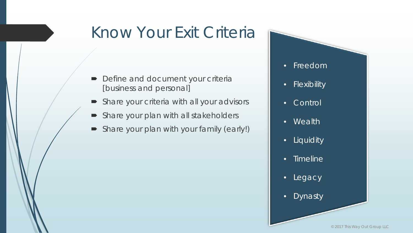## Know Your Exit Criteria

- **Define and document your criterially** [business and personal]
- Share your criteria with all your advisors
- Share your plan with all stakeholders
- Share your plan with your family (early!)

• Freedom

- Flexibility
- Control
- Wealth
- Liquidity
- Timeline
- Legacy
- Dynasty

© 2017 This Way Out Group LLC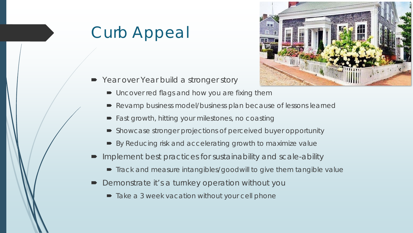# Curb Appeal



- Year over Year build a stronger story
	- Uncover red flags and how you are fixing them
	- Revamp business model/business plan because of lessons learned
	- Fast growth, hitting your milestones, no coasting
	- Showcase stronger projections of perceived buyer opportunity
	- By Reducing risk and accelerating growth to maximize value
- Implement best practices for sustainability and scale-ability
	- Track and measure intangibles/goodwill to give them tangible value
- Demonstrate it's a turnkey operation without you
	- Take a 3 week vacation without your cell phone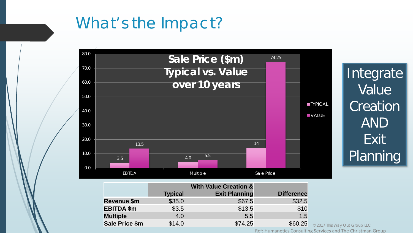## What's the Impact?



Integrate Value Creation AND Exit Planning

|                       |                | <b>With Value Creation &amp;</b> |                   |
|-----------------------|----------------|----------------------------------|-------------------|
|                       | <b>Typical</b> | <b>Exit Planning</b>             | <b>Difference</b> |
| Revenue \$m           | \$35.0         | \$67.5                           | \$32.5            |
| <b>EBITDA \$m</b>     | \$3.5          | \$13.5                           | \$10              |
| <b>Multiple</b>       | 4.0            | 5.5                              | 1.5               |
| <b>Sale Price \$m</b> | \$14.0         | \$74.25                          | \$60.25           |

© 2017 This Way Out Group LLC

Ref: Humanetics Consulting Services and The Christman Group